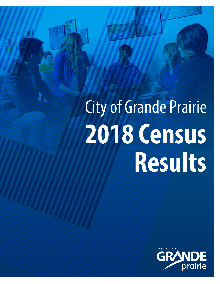# City of Grande Prairie **2018 Census Results**

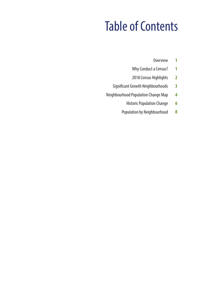### Table of Contents

- **Overview 1**
- Why Conduct a Census? **1**
- 2018 Census Highlights **2**
- Significant Growth Neighbourhoods **3**
- Neighbourhood Population Change Map **4**
	- Historic Population Change **6**
	- Population by Neighbourhood **8**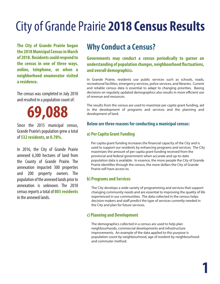### City of Grande Prairie **2018 Census Results**

**The City of Grande Prairie began the 2018 Municipal Census in March of 2018. Residents could respond to the census in one of three ways, online, telephone, or when a neighborhood enumerator visited a residence.** 

The census was completed in July 2018 and resulted in a population count of:

## **69,088**

Since the 2015 municipal census, Grande Prairie's population grew a total of **532 residents**, or **0.78%.**

In 2016, the City of Grande Prairie annexed 6,300 hectares of land from the County of Grande Prairie. The annexation impacted 300 properties and 200 property owners. The population of the annexed lands prior to annexation is unknown. The 2018 census reports a total of **803 residents**  in the annexed lands.

#### **Why Conduct a Census?**

**Governments may conduct a census periodically to garner an understanding of population changes, neighbourhood fluctuations, and overall demographics.**

In Grande Prairie, residents use public services such as schools, roads, recreational facilities, emergency services, police services, and libraries. Current and reliable census data is essential to adapt to changing priorities. Basing decisions on regularly updated demographics also results in more efficient use of revenue and resources.

The results from the census are used to maximize per capita grant funding, aid in the development of programs and services and the planning and development of land.

#### **Below are three reasons for conducting a municipal census:**

#### **a) Per Capita Grant Funding**

Per capita grant funding increases the financial capacity of the City and is used to support our residents by enhancing programs and services. The City maximizes the amount of per capita grant funding received from the provincial and federal government when accurate and up-to-date population data is available. In essence, the more people the City of Grande Prairie identifies through the census, the more dollars the City of Grande Prairie will have access to.

#### **b) Programs and Services**

 The City develops a wide variety of programming and services that support changing community needs and are essential to improving the quality of life experienced in our communities. The data collected in the census helps decision-makers and staff predict the type of services currently needed in the City and plan for future services.

#### **c) Planning and Development**

 The demographics collected in a census are used to help plan neighbourhoods, commercial developments and infrastructure improvements. An example of the data applied to this purpose is population count by neighbourhood, age of resident by neighbourhood and commuter method.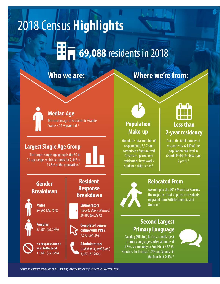## 2018 Census **Highlights**

### **69,088** residents in 2018

#### **Who we are:**

#### **Median Age**

The median age of residents in Grande Prairie is 31.9 years old.<sup>+</sup>

#### **Largest Single Age Group**

The largest single age group is the 30 to 34 age range, which accounts for 7,462 or 10.8% of the population.\*



#### **Gender Breakdown**

**Males** 26,366 (*38.16%*)



25,281 (*36.59%*)



**No Response/Didn't wish to Respond** 17,441 (*25.25%*)

#### **Resident Response Breakdown**

**Enumerators** (*door to door collection*) 20,485 (*64.32%*)

**Completed census online with PIN #**  7,673 (*24.09%*)



### **Where we're from:**



Out of the total number of respondents, 7,392 are comprised of naturalized Canadians, permanent residents or have work / student / visitor visas.\*



#### **Less than 2-year residency**

Out of the total number of respondents, 6,149 of the population has lived in Grande Prairie for less than 2 years.\*



#### **Relocated From**

According to the 2018 Municipal Census, the majority of out of province residents migrated from British Columbia and Ontario.\*

#### **Second Largest Primary Language**

Tagalog (Filipino) is the second largest primary language spoken at home at 1.6%, second only to English at 68.3%. French is the third at 1.0% and Spanish is the fourth at 0.4%.\*



*\*Based on conrmed population count – omitting "no response" count | + Based on 2016 Federal Census*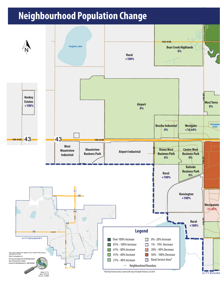#### **Neighbourhood Population Change**

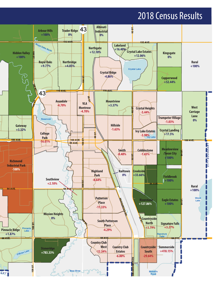#### 2018 Census Results

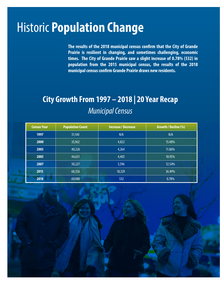### Historic **Population Change**

The results of the 2018 municipal census confirm that the City of Grande **Prairie is resilient in changing, and sometimes challenging, economic times. The City of Grande Prairie saw a slight increase of 0.78% (532) in population from the 2015 municipal census, the results of the 2018 municipal census confirm Grande Prairie draws new residents.** 

#### **City Growth From 1997 – 2018 | 20 Year Recap** *Municipal Census*

| <b>Census Year</b> | <b>Population Count</b> | <b>Increase / Decrease</b> | Growth / Decline (%) |
|--------------------|-------------------------|----------------------------|----------------------|
| 1997               | 31,140                  | N/A                        | N/A                  |
| 2000               | 35,962                  | 4,822                      | 15.48%               |
| 2003               | 40,226                  | 4,264                      | 11.86%               |
| 2005               | 44,631                  | 4,405                      | 10.95%               |
| 2007               | 50,227                  | 5,596                      | 12.54%               |
| 2015               | 68,556                  | 18,329                     | 36.49%               |
| 2018               | 69,088                  | 532                        | 0.78%                |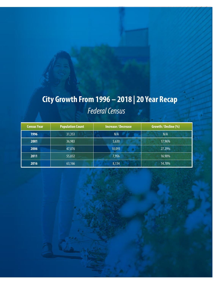### **City Growth From 1996 – 2018 | 20 Year Recap** *Federal Census*

| <b>Census Year</b> | <b>Population Count</b> | <b>Increase / Decrease</b> | Growth / Decline (%) |
|--------------------|-------------------------|----------------------------|----------------------|
| 1996               | 31,353                  | N/A                        | N/A                  |
| 2001               | 36,983                  | 5,630                      | 17.96%               |
| 2006               | 47,076                  | 10,093                     | 27.29%               |
| 2011               | 55,032                  | 7,956                      | 16.90%               |
| 2016               | 63,166                  | 8,134                      | 14.78%               |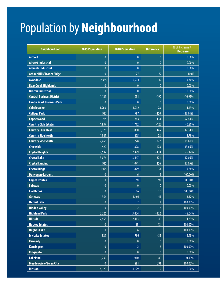### Population by **Neighbourhood**

| Neighbourhood                    | <b>2015 Population</b> | <b>2018 Population</b> | <b>Difference</b> | % of Increase /<br><b>Decrease</b> |
|----------------------------------|------------------------|------------------------|-------------------|------------------------------------|
| <b>Airport</b>                   | $\mathbf{0}$           | $\overline{0}$         | $\mathbf{0}$      | 0.00%                              |
| <b>Airport Industrial</b>        | $\mathbf{0}$           | $\pmb{0}$              | $\mathbf{0}$      | 0.00%                              |
| <b>Albinati Industrial</b>       | $\mathbf{0}$           | $\mathbf{0}$           | $\mathbf{0}$      | 0.00%                              |
| <b>Arbour Hills/Trader Ridge</b> | $\mathbf{0}$           | 77                     | 77                | 100%                               |
| <b>Avondale</b>                  | 2,385                  | 2,273                  | $-112$            | $-4.70%$                           |
| <b>Bear Creek Highlands</b>      | $\mathbf{0}$           | $\bf{0}$               | $\mathbf{0}$      | 0.00%                              |
| <b>Brochu Industrial</b>         | $\mathbf{0}$           | $\bf{0}$               | $\mathbf{0}$      | $0.00\%$                           |
| <b>Central Business District</b> | 1,121                  | 931                    | $-190$            | $-16.95%$                          |
| <b>Centre West Business Park</b> | $\mathbf{0}$           | $\mathbf{0}$           | $\mathbf{0}$      | 0.00%                              |
| <b>Cobblestone</b>               | 1,960                  | 1,932                  | $-28$             | $-1.43%$                           |
| <b>College Park</b>              | 937                    | 787                    | $-150$            | $-16.01%$                          |
| Copperwood                       | 225                    | 343                    | 118               | 52.44%                             |
| <b>Country Club Estates</b>      | 1,837                  | 1,712                  | $-125$            | $-6.80%$                           |
| <b>Country Club West</b>         | 1,175                  | 1,030                  | $-145$            | $-12.34%$                          |
| <b>Country Side North</b>        | 1,347                  | 1,425                  | 78                | 5.79%                              |
| <b>Country Side South</b>        | 2,455                  | 1,728                  | $-727$            | $-29.61%$                          |
| <b>Creekside</b>                 | 1,420                  | 1,898                  | 478               | 33.66%                             |
| <b>Crystal Heights</b>           | 2,537                  | 2,399                  | $-138$            | $-5.44%$                           |
| <b>Crystal Lake</b>              | 3,076                  | 3,447                  | 371               | 12.06%                             |
| <b>Crystal Landing</b>           | 915                    | 1,071                  | 156               | 17.05%                             |
| <b>Crystal Ridge</b>             | 1,975                  | 1,879                  | $-96$             | $-4.86%$                           |
| <b>Dunvegan Gardens</b>          | $\bf{0}$               | $\boldsymbol{6}$       | $6\phantom{.}6$   | 100.00%                            |
| <b>Eagles Estates</b>            | $\mathbf{0}$           | 92                     | 92                | 100.00%                            |
| <b>Fairway</b>                   | $\mathbf{0}$           | $\mathbf{0}$           | $\mathbf{0}$      | 0.00%                              |
| <b>Fieldbrook</b>                | $\mathbf{0}$           | 16                     | 16                | 100.00%                            |
| Gateway                          | 1,356                  | 1,401                  | 45                | 3.32%                              |
| <b>Hermit Lake</b>               | $\mathbf{0}$           | $\overline{2}$         | $\overline{2}$    | 100.00%                            |
| <b>Hidden Valley</b>             | $\pmb{0}$              | $\overline{2}$         | $\overline{2}$    | 100.00%                            |
| <b>Highland Park</b>             | 3,726                  | 3,404                  | $-322$            | $-8.64%$                           |
| <b>Hillside</b>                  | 2,453                  | 2,413                  | $-40$             | $-1.63%$                           |
| <b>Hockey Estates</b>            | $\pmb{0}$              | 13                     | 13                | 100.00%                            |
| <b>Hughes Lake</b>               | $\pmb{0}$              | $\boldsymbol{6}$       | $6\phantom{a}$    | 100.00%                            |
| <b>Ivy Lake Estates</b>          | 829                    | 796                    | $-33$             | $-3.98%$                           |
| <b>Kennedy</b>                   | $\pmb{0}$              | $\pmb{0}$              | $\pmb{0}$         | $0.00\%$                           |
| <b>Kensington</b>                | $\mathbf{0}$           | $\overline{2}$         | $\overline{2}$    | 100.00%                            |
| <b>Kingsgate</b>                 | $\pmb{0}$              | $\pmb{0}$              | $\pmb{0}$         | $0.00\%$                           |
| <b>Lakeland</b>                  | 1,730                  | 1,910                  | 180               | 10.40%                             |
| <b>Meadowview/Swan City</b>      | $\pmb{0}$              | 291                    | 291               | 100.00%                            |
| <b>Mission</b>                   | 4,129                  | 4,129                  | $\pmb{0}$         | $0.00\%$                           |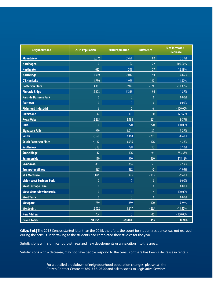| <b>Neighbourhood</b>             | <b>2015 Population</b> | <b>2018 Population</b> | <b>Difference</b> | % of Increase /<br><b>Decrease</b> |
|----------------------------------|------------------------|------------------------|-------------------|------------------------------------|
| <b>Mountview</b>                 | 2,376                  | 2,456                  | 80                | 3.37%                              |
| <b>Nordhagen</b>                 | $\mathbf{0}$           | 22                     | 22                | 100.00%                            |
| <b>Northgate</b>                 | 632                    | 709                    | 77                | 12.18%                             |
| <b>Northridge</b>                | 1,919                  | 2,012                  | 93                | 4.85%                              |
| <b>O'Brien Lake</b>              | 1,730                  | 1,929                  | 199               | 11.50%                             |
| <b>Patterson Place</b>           | 3,301                  | 2,927                  | $-374$            | $-11.33%$                          |
| <b>Pinnacle Ridge</b>            | 5,123                  | 5,219                  | 96                | 1.87%                              |
| <b>Railside Business Park</b>    | $\mathbf{0}$           | $\pmb{0}$              | $\overline{0}$    | 0.00%                              |
| <b>Railtown</b>                  | $\pmb{0}$              | $\pmb{0}$              | $\bf{0}$          | 0.00%                              |
| <b>Richmond Industrial</b>       | $6\overline{6}$        | $\mathbf{0}$           | $-6$              | $-100.00\%$                        |
| <b>Riverstone</b>                | 47                     | 107                    | 60                | 127.66%                            |
| <b>Royal Oaks</b>                | 2,263                  | 2,484                  | 221               | 9.77%                              |
| <b>Rural</b>                     | $\mathbf{0}$           | 270                    | 270               | 100.00%                            |
| <b>Signature Falls</b>           | 979                    | 1,011                  | 32                | 3.27%                              |
| <b>Smith</b>                     | 2,369                  | 2,168                  | $-201$            | $-8.48%$                           |
| <b>South Patterson Place</b>     | 4,112                  | 3,936                  | $-176$            | $-4.28%$                           |
| <b>Southview</b>                 | 713                    | 728                    | 15                | 2.10%                              |
| <b>Stone Ridge</b>               | 12                     | 106                    | 94                | 783.33%                            |
| <b>Summerside</b>                | 110                    | 570                    | 460               | 418.18%                            |
| <b>Swanavon</b>                  | 887                    | 864                    | $-23$             | $-2.59%$                           |
| <b>Trumpeter Village</b>         | 487                    | 482                    | $-5$              | $-1.03%$                           |
| <b>VLA Montrose</b>              | 1,096                  | 993                    | $-103$            | $-9.40%$                           |
| <b>Vision West Business Park</b> | $\mathbf{0}$           | $\mathbf{0}$           | $\mathbf{0}$      | 0.00%                              |
| <b>West Carriage Lane</b>        | $\pmb{0}$              | $\pmb{0}$              | $\pmb{0}$         | 0.00%                              |
| <b>West Mountview Industrial</b> | $\mathbf{0}$           | $\overline{4}$         | $\overline{4}$    | 100.00%                            |
| <b>West Terra</b>                | $\mathbf{0}$           | $\mathbf{0}$           | $\mathbf{0}$      | 0.00%                              |
| Westgate                         | $\overline{739}$       | 859                    | 120               | 16.24%                             |
| <b>Westpoint</b>                 | 2,052                  | 1,817                  | $-235$            | $-11.45%$                          |
| <b>New Address</b>               | 15                     | $\mathbf{0}$           | $-15$             | $-100.00\%$                        |
| <b>Grand Totals</b>              | 68,556                 | 69,088                 | 455               | 0.78%                              |

**College Park |** The 2018 Census started later than the 2015, therefore, the count for student residence was not realized during the census undertaking as the students had completed their studies for the year.

Subdivisions with significant growth realized new develoments or annexation into the areas.

Subdivisions with a decrease, may not have people respond to the census or there has been a decrease in rentals.

For a detailed breakdown of neighbourhood population changes, please call the Citizen Contact Centre at **780-538-0300** and ask to speak to Legislative Services.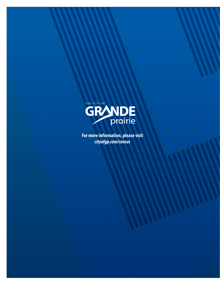

**For more information, please visit** *cityofgp.com/census*